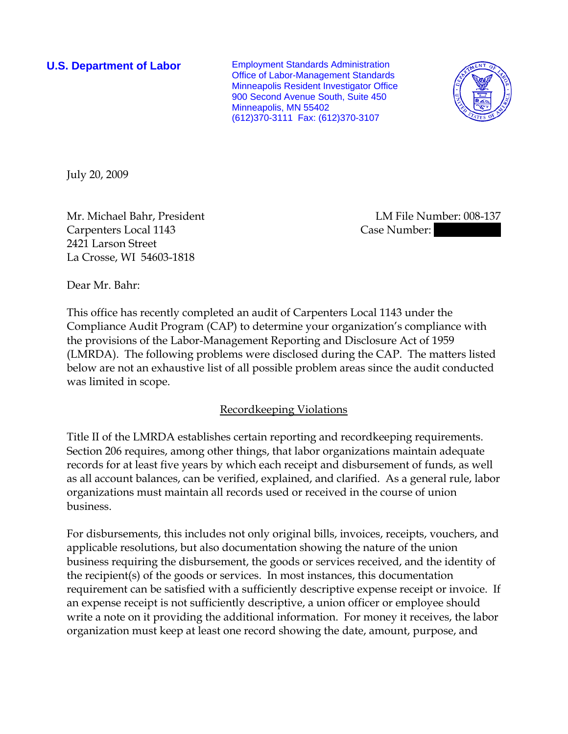**U.S. Department of Labor** Employment Standards Administration Office of Labor-Management Standards Minneapolis Resident Investigator Office 900 Second Avenue South, Suite 450 Minneapolis, MN 55402 (612)370-3111 Fax: (612)370-3107



July 20, 2009

Mr. Michael Bahr, President LM File Number: 008-137 Carpenters Local 1143 Case Number: 2421 Larson Street La Crosse, WI 54603-1818

Dear Mr. Bahr:

This office has recently completed an audit of Carpenters Local 1143 under the Compliance Audit Program (CAP) to determine your organization's compliance with the provisions of the Labor-Management Reporting and Disclosure Act of 1959 (LMRDA). The following problems were disclosed during the CAP. The matters listed below are not an exhaustive list of all possible problem areas since the audit conducted was limited in scope.

### Recordkeeping Violations

Title II of the LMRDA establishes certain reporting and recordkeeping requirements. Section 206 requires, among other things, that labor organizations maintain adequate records for at least five years by which each receipt and disbursement of funds, as well as all account balances, can be verified, explained, and clarified. As a general rule, labor organizations must maintain all records used or received in the course of union business.

For disbursements, this includes not only original bills, invoices, receipts, vouchers, and applicable resolutions, but also documentation showing the nature of the union business requiring the disbursement, the goods or services received, and the identity of the recipient(s) of the goods or services. In most instances, this documentation requirement can be satisfied with a sufficiently descriptive expense receipt or invoice. If an expense receipt is not sufficiently descriptive, a union officer or employee should write a note on it providing the additional information. For money it receives, the labor organization must keep at least one record showing the date, amount, purpose, and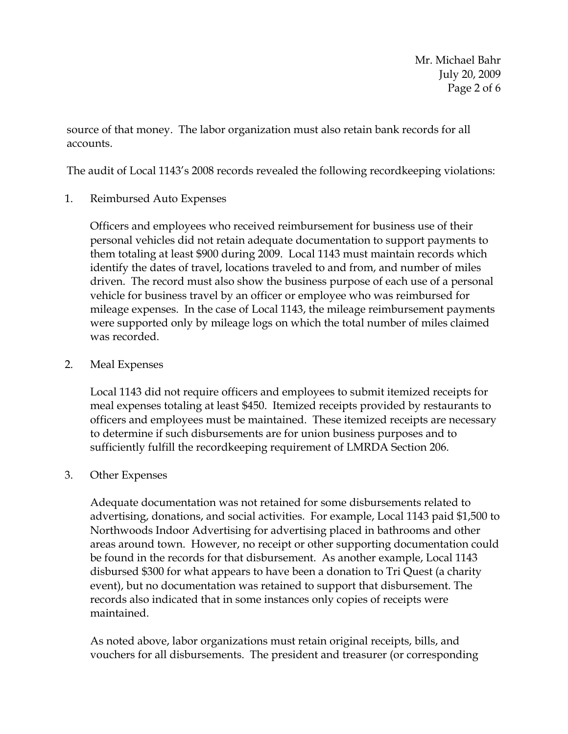Mr. Michael Bahr July 20, 2009 Page 2 of 6

source of that money. The labor organization must also retain bank records for all accounts.

The audit of Local 1143's 2008 records revealed the following recordkeeping violations:

1. Reimbursed Auto Expenses

Officers and employees who received reimbursement for business use of their personal vehicles did not retain adequate documentation to support payments to them totaling at least \$900 during 2009. Local 1143 must maintain records which identify the dates of travel, locations traveled to and from, and number of miles driven. The record must also show the business purpose of each use of a personal vehicle for business travel by an officer or employee who was reimbursed for mileage expenses. In the case of Local 1143, the mileage reimbursement payments were supported only by mileage logs on which the total number of miles claimed was recorded.

## 2. Meal Expenses

Local 1143 did not require officers and employees to submit itemized receipts for meal expenses totaling at least \$450. Itemized receipts provided by restaurants to officers and employees must be maintained. These itemized receipts are necessary to determine if such disbursements are for union business purposes and to sufficiently fulfill the recordkeeping requirement of LMRDA Section 206.

### 3. Other Expenses

Adequate documentation was not retained for some disbursements related to advertising, donations, and social activities. For example, Local 1143 paid \$1,500 to Northwoods Indoor Advertising for advertising placed in bathrooms and other areas around town. However, no receipt or other supporting documentation could be found in the records for that disbursement. As another example, Local 1143 disbursed \$300 for what appears to have been a donation to Tri Quest (a charity event), but no documentation was retained to support that disbursement. The records also indicated that in some instances only copies of receipts were maintained.

As noted above, labor organizations must retain original receipts, bills, and vouchers for all disbursements. The president and treasurer (or corresponding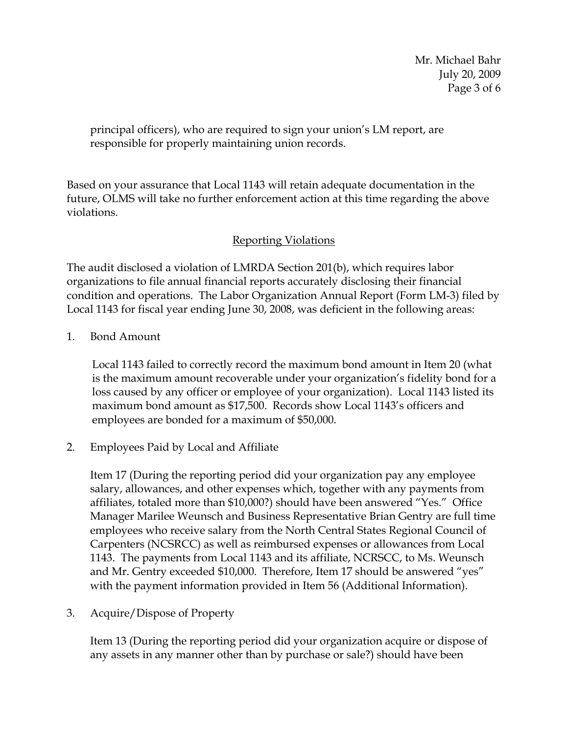Mr. Michael Bahr July 20, 2009 Page 3 of 6

principal officers), who are required to sign your union's LM report, are responsible for properly maintaining union records.

Based on your assurance that Local 1143 will retain adequate documentation in the future, OLMS will take no further enforcement action at this time regarding the above violations.

# Reporting Violations

The audit disclosed a violation of LMRDA Section 201(b), which requires labor organizations to file annual financial reports accurately disclosing their financial condition and operations. The Labor Organization Annual Report (Form LM-3) filed by Local 1143 for fiscal year ending June 30, 2008, was deficient in the following areas:

1. Bond Amount

Local 1143 failed to correctly record the maximum bond amount in Item 20 (what is the maximum amount recoverable under your organization's fidelity bond for a loss caused by any officer or employee of your organization). Local 1143 listed its maximum bond amount as \$17,500. Records show Local 1143's officers and employees are bonded for a maximum of \$50,000.

2. Employees Paid by Local and Affiliate

Item 17 (During the reporting period did your organization pay any employee salary, allowances, and other expenses which, together with any payments from affiliates, totaled more than \$10,000?) should have been answered "Yes." Office Manager Marilee Weunsch and Business Representative Brian Gentry are full time employees who receive salary from the North Central States Regional Council of Carpenters (NCSRCC) as well as reimbursed expenses or allowances from Local 1143. The payments from Local 1143 and its affiliate, NCRSCC, to Ms. Weunsch and Mr. Gentry exceeded \$10,000. Therefore, Item 17 should be answered "yes" with the payment information provided in Item 56 (Additional Information).

3. Acquire/Dispose of Property

Item 13 (During the reporting period did your organization acquire or dispose of any assets in any manner other than by purchase or sale?) should have been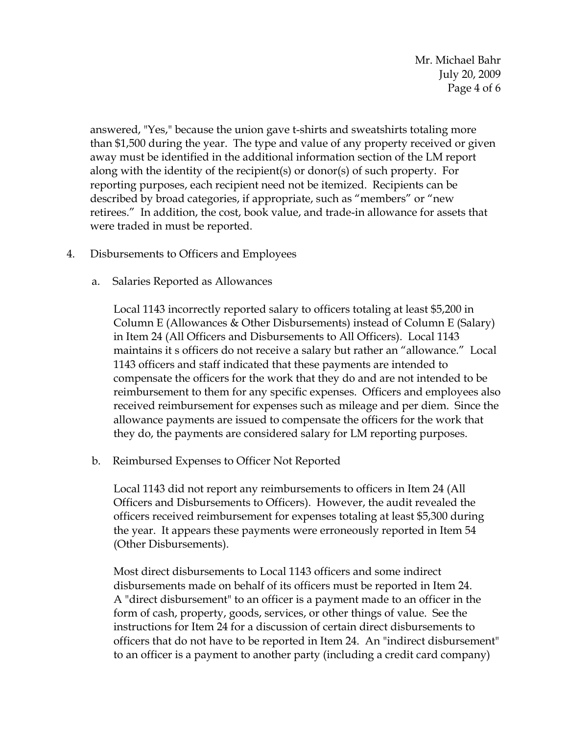Mr. Michael Bahr July 20, 2009 Page 4 of 6

answered, "Yes," because the union gave t-shirts and sweatshirts totaling more than \$1,500 during the year. The type and value of any property received or given away must be identified in the additional information section of the LM report along with the identity of the recipient(s) or donor(s) of such property. For reporting purposes, each recipient need not be itemized. Recipients can be described by broad categories, if appropriate, such as "members" or "new retirees." In addition, the cost, book value, and trade-in allowance for assets that were traded in must be reported.

- 4. Disbursements to Officers and Employees
	- a. Salaries Reported as Allowances

Local 1143 incorrectly reported salary to officers totaling at least \$5,200 in Column E (Allowances & Other Disbursements) instead of Column E (Salary) in Item 24 (All Officers and Disbursements to All Officers). Local 1143 maintains it s officers do not receive a salary but rather an "allowance." Local 1143 officers and staff indicated that these payments are intended to compensate the officers for the work that they do and are not intended to be reimbursement to them for any specific expenses. Officers and employees also received reimbursement for expenses such as mileage and per diem. Since the allowance payments are issued to compensate the officers for the work that they do, the payments are considered salary for LM reporting purposes.

b. Reimbursed Expenses to Officer Not Reported

Local 1143 did not report any reimbursements to officers in Item 24 (All Officers and Disbursements to Officers). However, the audit revealed the officers received reimbursement for expenses totaling at least \$5,300 during the year. It appears these payments were erroneously reported in Item 54 (Other Disbursements).

Most direct disbursements to Local 1143 officers and some indirect disbursements made on behalf of its officers must be reported in Item 24. A "direct disbursement" to an officer is a payment made to an officer in the form of cash, property, goods, services, or other things of value. See the instructions for Item 24 for a discussion of certain direct disbursements to officers that do not have to be reported in Item 24. An "indirect disbursement" to an officer is a payment to another party (including a credit card company)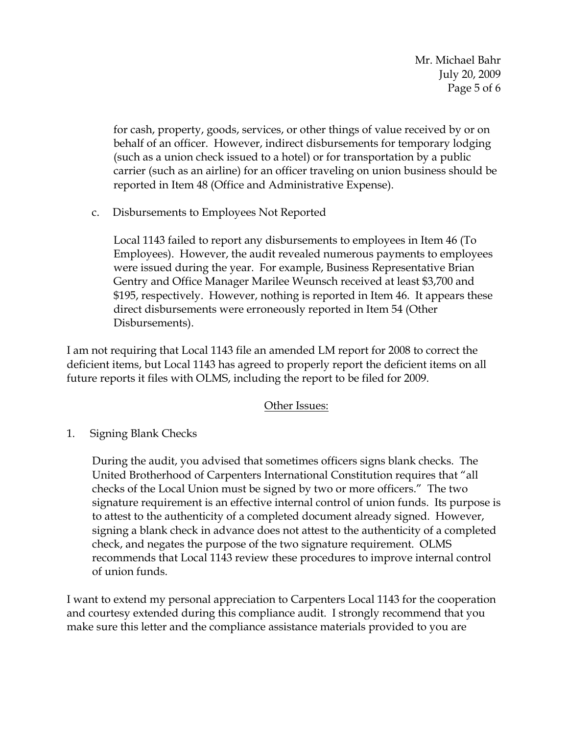Mr. Michael Bahr July 20, 2009 Page 5 of 6

for cash, property, goods, services, or other things of value received by or on behalf of an officer. However, indirect disbursements for temporary lodging (such as a union check issued to a hotel) or for transportation by a public carrier (such as an airline) for an officer traveling on union business should be reported in Item 48 (Office and Administrative Expense).

c. Disbursements to Employees Not Reported

Local 1143 failed to report any disbursements to employees in Item 46 (To Employees). However, the audit revealed numerous payments to employees were issued during the year.For example, Business Representative Brian Gentry and Office Manager Marilee Weunsch received at least \$3,700 and \$195, respectively. However, nothing is reported in Item 46. It appears these direct disbursements were erroneously reported in Item 54 (Other Disbursements).

I am not requiring that Local 1143 file an amended LM report for 2008 to correct the deficient items, but Local 1143 has agreed to properly report the deficient items on all future reports it files with OLMS, including the report to be filed for 2009.

# Other Issues:

1. Signing Blank Checks

During the audit, you advised that sometimes officers signs blank checks. The United Brotherhood of Carpenters International Constitution requires that "all checks of the Local Union must be signed by two or more officers." The two signature requirement is an effective internal control of union funds. Its purpose is to attest to the authenticity of a completed document already signed. However, signing a blank check in advance does not attest to the authenticity of a completed check, and negates the purpose of the two signature requirement. OLMS recommends that Local 1143 review these procedures to improve internal control of union funds.

I want to extend my personal appreciation to Carpenters Local 1143 for the cooperation and courtesy extended during this compliance audit. I strongly recommend that you make sure this letter and the compliance assistance materials provided to you are